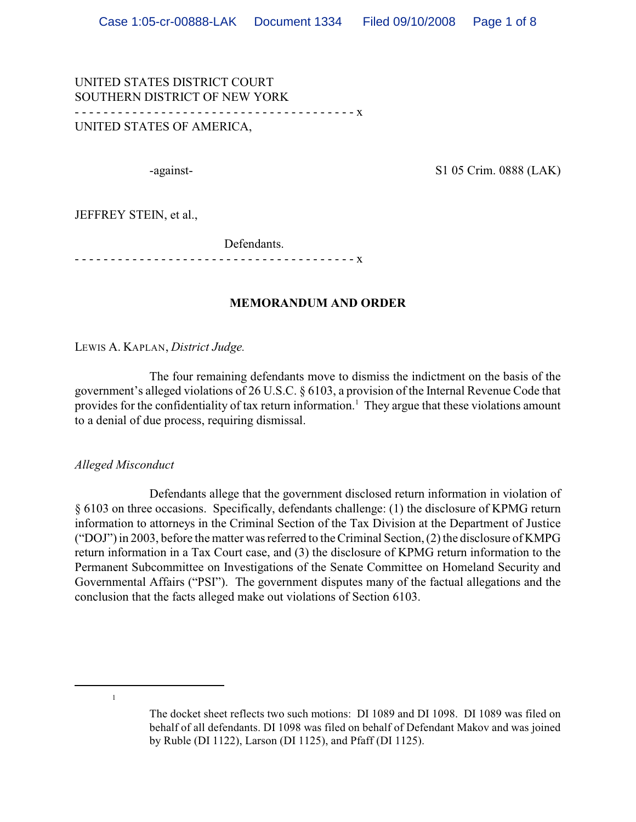UNITED STATES DISTRICT COURT SOUTHERN DISTRICT OF NEW YORK - - - - - - - - - - - - - - - - - - - - - - - - - - - - - - - - - - - - - - - x UNITED STATES OF AMERICA,

-against- S1 05 Crim. 0888 (LAK)

JEFFREY STEIN, et al.,

Defendants. - - - - - - - - - - - - - - - - - - - - - - - - - - - - - - - - - - - - - - - x

#### **MEMORANDUM AND ORDER**

LEWIS A. KAPLAN, *District Judge.*

The four remaining defendants move to dismiss the indictment on the basis of the government's alleged violations of 26 U.S.C. § 6103, a provision of the Internal Revenue Code that provides for the confidentiality of tax return information.<sup>1</sup> They argue that these violations amount to a denial of due process, requiring dismissal.

*Alleged Misconduct*

Defendants allege that the government disclosed return information in violation of § 6103 on three occasions. Specifically, defendants challenge: (1) the disclosure of KPMG return information to attorneys in the Criminal Section of the Tax Division at the Department of Justice ("DOJ") in 2003, before the matter was referred to the Criminal Section, (2) the disclosure of KMPG return information in a Tax Court case, and (3) the disclosure of KPMG return information to the Permanent Subcommittee on Investigations of the Senate Committee on Homeland Security and Governmental Affairs ("PSI"). The government disputes many of the factual allegations and the conclusion that the facts alleged make out violations of Section 6103.

<sup>1</sup>

The docket sheet reflects two such motions: DI 1089 and DI 1098. DI 1089 was filed on behalf of all defendants. DI 1098 was filed on behalf of Defendant Makov and was joined by Ruble (DI 1122), Larson (DI 1125), and Pfaff (DI 1125).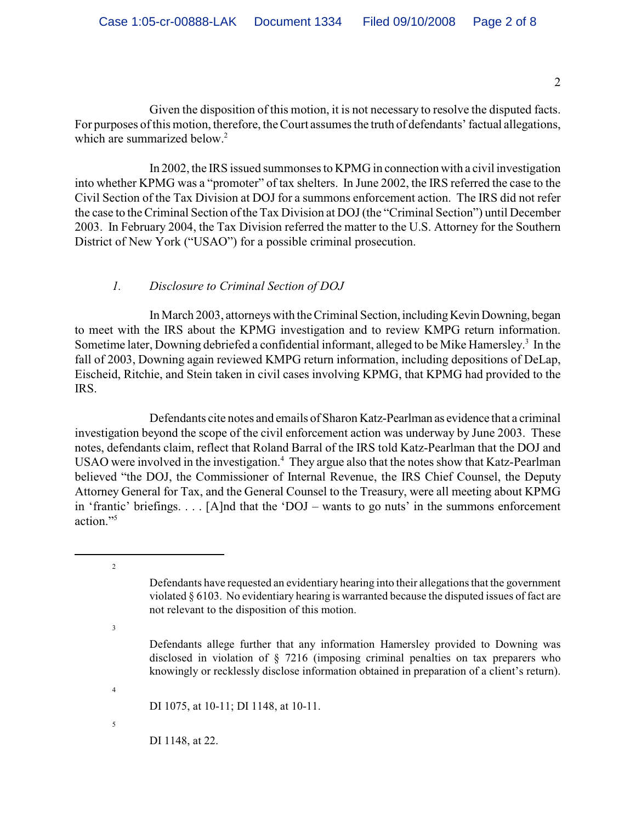Given the disposition of this motion, it is not necessary to resolve the disputed facts. For purposes of this motion, therefore, the Court assumes the truth of defendants' factual allegations, which are summarized below.<sup>2</sup>

In 2002, the IRS issued summonses to KPMG in connection with a civil investigation into whether KPMG was a "promoter" of tax shelters. In June 2002, the IRS referred the case to the Civil Section of the Tax Division at DOJ for a summons enforcement action. The IRS did not refer the case to the Criminal Section ofthe Tax Division at DOJ (the "Criminal Section") until December 2003. In February 2004, the Tax Division referred the matter to the U.S. Attorney for the Southern District of New York ("USAO") for a possible criminal prosecution.

# *1. Disclosure to Criminal Section of DOJ*

In March 2003, attorneys with the Criminal Section, including Kevin Downing, began to meet with the IRS about the KPMG investigation and to review KMPG return information. Sometime later, Downing debriefed a confidential informant, alleged to be Mike Hamersley.<sup>3</sup> In the fall of 2003, Downing again reviewed KMPG return information, including depositions of DeLap, Eischeid, Ritchie, and Stein taken in civil cases involving KPMG, that KPMG had provided to the IRS.

Defendants cite notes and emails of Sharon Katz-Pearlman as evidence that a criminal investigation beyond the scope of the civil enforcement action was underway by June 2003. These notes, defendants claim, reflect that Roland Barral of the IRS told Katz-Pearlman that the DOJ and USAO were involved in the investigation.<sup>4</sup> They argue also that the notes show that Katz-Pearlman believed "the DOJ, the Commissioner of Internal Revenue, the IRS Chief Counsel, the Deputy Attorney General for Tax, and the General Counsel to the Treasury, were all meeting about KPMG in 'frantic' briefings. . . . [A]nd that the 'DOJ – wants to go nuts' in the summons enforcement action."<sup>5</sup>

DI 1075, at 10-11; DI 1148, at 10-11.

5

4

2

3

DI 1148, at 22.

2

Defendants have requested an evidentiary hearing into their allegations that the government violated § 6103. No evidentiary hearing is warranted because the disputed issues of fact are not relevant to the disposition of this motion.

Defendants allege further that any information Hamersley provided to Downing was disclosed in violation of § 7216 (imposing criminal penalties on tax preparers who knowingly or recklessly disclose information obtained in preparation of a client's return).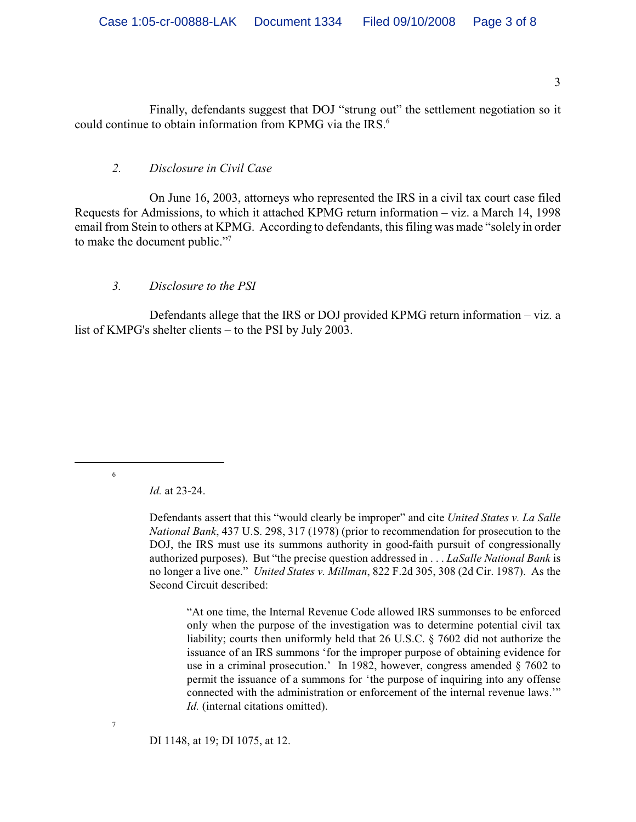Finally, defendants suggest that DOJ "strung out" the settlement negotiation so it could continue to obtain information from KPMG via the IRS.<sup>6</sup>

### *2. Disclosure in Civil Case*

On June 16, 2003, attorneys who represented the IRS in a civil tax court case filed Requests for Admissions, to which it attached KPMG return information – viz. a March 14, 1998 email from Stein to others at KPMG. According to defendants, this filing was made "solely in order to make the document public."<sup>7</sup>

#### *3. Disclosure to the PSI*

Defendants allege that the IRS or DOJ provided KPMG return information – viz. a list of KMPG's shelter clients – to the PSI by July 2003.

6

7

*Id.* at 23-24.

Defendants assert that this "would clearly be improper" and cite *United States v. La Salle National Bank*, 437 U.S. 298, 317 (1978) (prior to recommendation for prosecution to the DOJ, the IRS must use its summons authority in good-faith pursuit of congressionally authorized purposes). But "the precise question addressed in . . . *LaSalle National Bank* is no longer a live one." *United States v. Millman*, 822 F.2d 305, 308 (2d Cir. 1987). As the Second Circuit described:

"At one time, the Internal Revenue Code allowed IRS summonses to be enforced only when the purpose of the investigation was to determine potential civil tax liability; courts then uniformly held that 26 U.S.C. § 7602 did not authorize the issuance of an IRS summons 'for the improper purpose of obtaining evidence for use in a criminal prosecution.' In 1982, however, congress amended § 7602 to permit the issuance of a summons for 'the purpose of inquiring into any offense connected with the administration or enforcement of the internal revenue laws.'" *Id.* (internal citations omitted).

DI 1148, at 19; DI 1075, at 12.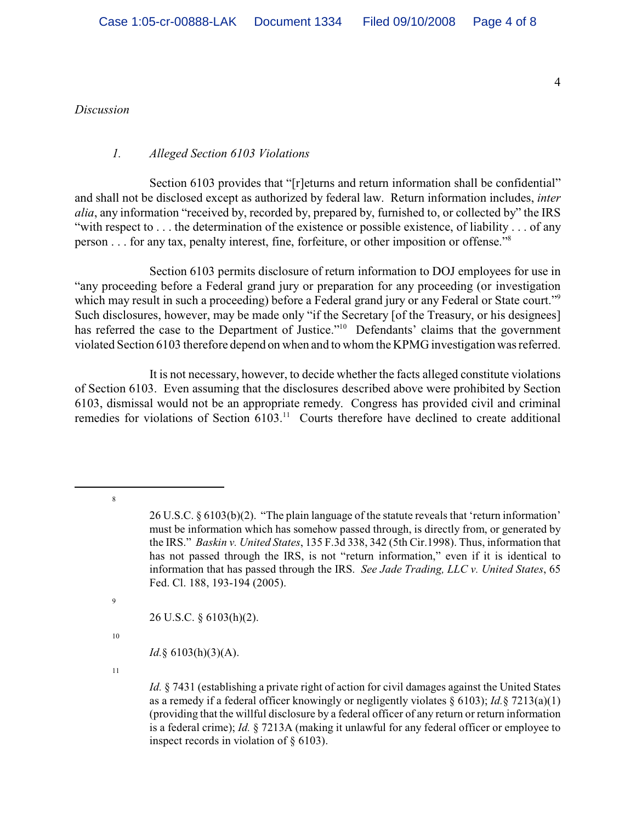*Discussion*

#### *1. Alleged Section 6103 Violations*

Section 6103 provides that "[r]eturns and return information shall be confidential" and shall not be disclosed except as authorized by federal law. Return information includes, *inter alia*, any information "received by, recorded by, prepared by, furnished to, or collected by" the IRS "with respect to . . . the determination of the existence or possible existence, of liability . . . of any person . . . for any tax, penalty interest, fine, forfeiture, or other imposition or offense."<sup>8</sup>

Section 6103 permits disclosure of return information to DOJ employees for use in "any proceeding before a Federal grand jury or preparation for any proceeding (or investigation which may result in such a proceeding) before a Federal grand jury or any Federal or State court."<sup>9</sup> Such disclosures, however, may be made only "if the Secretary [of the Treasury, or his designees] has referred the case to the Department of Justice."<sup>10</sup> Defendants' claims that the government violated Section 6103 therefore depend on when and to whom the KPMG investigation was referred.

It is not necessary, however, to decide whether the facts alleged constitute violations of Section 6103. Even assuming that the disclosures described above were prohibited by Section 6103, dismissal would not be an appropriate remedy. Congress has provided civil and criminal remedies for violations of Section  $6103$ <sup>11</sup> Courts therefore have declined to create additional

8

9

26 U.S.C. § 6103(h)(2).

10

*Id.*§ 6103(h)(3)(A).

11

*Id.* § 7431 (establishing a private right of action for civil damages against the United States as a remedy if a federal officer knowingly or negligently violates  $\S$  6103); *Id.*§ 7213(a)(1) (providing that the willful disclosure by a federal officer of any return or return information is a federal crime); *Id.* § 7213A (making it unlawful for any federal officer or employee to inspect records in violation of § 6103).

4

<sup>26</sup> U.S.C. § 6103(b)(2). "The plain language of the statute reveals that 'return information' must be information which has somehow passed through, is directly from, or generated by the IRS." *Baskin v. United States*, 135 F.3d 338, 342 (5th Cir.1998). Thus, information that has not passed through the IRS, is not "return information," even if it is identical to information that has passed through the IRS. *See Jade Trading, LLC v. United States*, 65 Fed. Cl. 188, 193-194 (2005).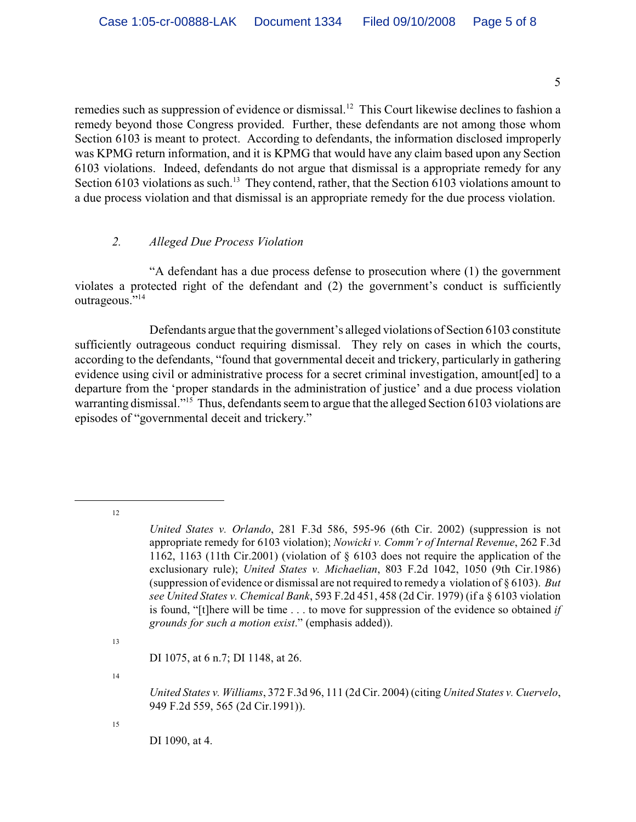remedies such as suppression of evidence or dismissal.<sup>12</sup> This Court likewise declines to fashion a remedy beyond those Congress provided. Further, these defendants are not among those whom Section 6103 is meant to protect. According to defendants, the information disclosed improperly was KPMG return information, and it is KPMG that would have any claim based upon any Section 6103 violations. Indeed, defendants do not argue that dismissal is a appropriate remedy for any Section 6103 violations as such.<sup>13</sup> They contend, rather, that the Section 6103 violations amount to a due process violation and that dismissal is an appropriate remedy for the due process violation.

#### *2. Alleged Due Process Violation*

"A defendant has a due process defense to prosecution where (1) the government violates a protected right of the defendant and (2) the government's conduct is sufficiently outrageous."<sup>14</sup>

Defendants argue that the government's alleged violations of Section 6103 constitute sufficiently outrageous conduct requiring dismissal. They rely on cases in which the courts, according to the defendants, "found that governmental deceit and trickery, particularly in gathering evidence using civil or administrative process for a secret criminal investigation, amount[ed] to a departure from the 'proper standards in the administration of justice' and a due process violation warranting dismissal."<sup>15</sup> Thus, defendants seem to argue that the alleged Section 6103 violations are episodes of "governmental deceit and trickery."

12

14

15

*United States v. Orlando*, 281 F.3d 586, 595-96 (6th Cir. 2002) (suppression is not appropriate remedy for 6103 violation); *Nowicki v. Comm'r of Internal Revenue*, 262 F.3d 1162, 1163 (11th Cir.2001) (violation of § 6103 does not require the application of the exclusionary rule); *United States v. Michaelian*, 803 F.2d 1042, 1050 (9th Cir.1986) (suppression of evidence or dismissal are not required to remedy a violation of § 6103). *But see United States v. Chemical Bank*, 593 F.2d 451, 458 (2d Cir. 1979) (if a § 6103 violation is found, "[t]here will be time . . . to move for suppression of the evidence so obtained *if grounds for such a motion exist*." (emphasis added)).

<sup>13</sup>

DI 1075, at 6 n.7; DI 1148, at 26.

*United States v. Williams*, 372 F.3d 96, 111 (2d Cir. 2004) (citing *United States v. Cuervelo*, 949 F.2d 559, 565 (2d Cir.1991)).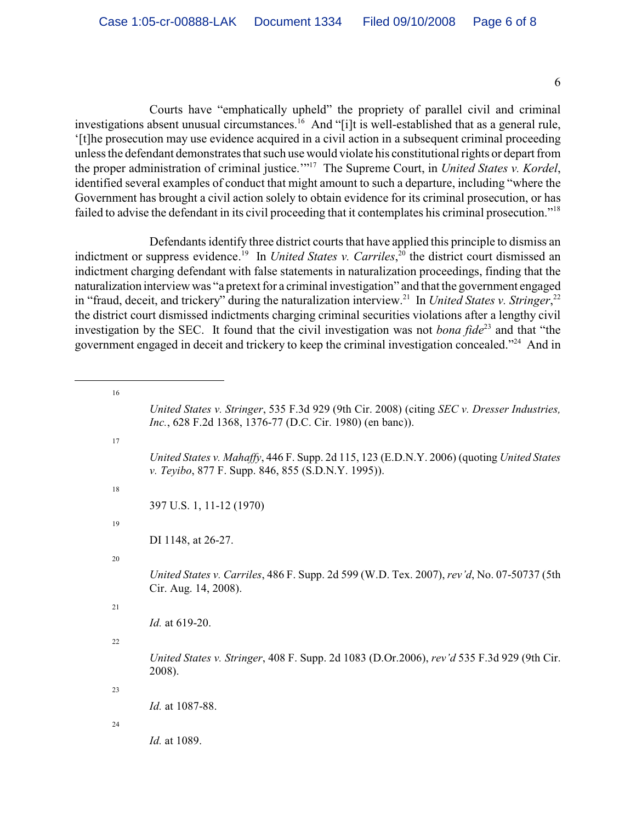6

Courts have "emphatically upheld" the propriety of parallel civil and criminal investigations absent unusual circumstances.<sup>16</sup> And "[i]t is well-established that as a general rule, '[t]he prosecution may use evidence acquired in a civil action in a subsequent criminal proceeding unless the defendant demonstrates that such use would violate his constitutional rights or depart from the proper administration of criminal justice."<sup>17</sup> The Supreme Court, in *United States v. Kordel*, identified several examples of conduct that might amount to such a departure, including "where the Government has brought a civil action solely to obtain evidence for its criminal prosecution, or has failed to advise the defendant in its civil proceeding that it contemplates his criminal prosecution."<sup>18</sup>

Defendants identify three district courts that have applied this principle to dismiss an indictment or suppress evidence.<sup>19</sup> In *United States v. Carriles*,<sup>20</sup> the district court dismissed an indictment charging defendant with false statements in naturalization proceedings, finding that the naturalization interview was "a pretext for a criminal investigation" and that the government engaged in "fraud, deceit, and trickery" during the naturalization interview.<sup>21</sup> In *United States v. Stringer*,<sup>22</sup> the district court dismissed indictments charging criminal securities violations after a lengthy civil investigation by the SEC. It found that the civil investigation was not *bona fide*<sup>23</sup> and that "the government engaged in deceit and trickery to keep the criminal investigation concealed."<sup>24</sup> And in

> *United States v. Stringer*, 535 F.3d 929 (9th Cir. 2008) (citing *SEC v. Dresser Industries, Inc.*, 628 F.2d 1368, 1376-77 (D.C. Cir. 1980) (en banc)).

*United States v. Mahaffy*, 446 F. Supp. 2d 115, 123 (E.D.N.Y. 2006) (quoting *United States v. Teyibo*, 877 F. Supp. 846, 855 (S.D.N.Y. 1995)).

397 U.S. 1, 11-12 (1970)

DI 1148, at 26-27.

20

16

17

18

19

*United States v. Carriles*, 486 F. Supp. 2d 599 (W.D. Tex. 2007), *rev'd*, No. 07-50737 (5th Cir. Aug. 14, 2008).

*Id.* at 619-20.

22

*United States v. Stringer*, 408 F. Supp. 2d 1083 (D.Or.2006), *rev'd* 535 F.3d 929 (9th Cir. 2008).

23

*Id.* at 1087-88.

24

*Id.* at 1089.

<sup>21</sup>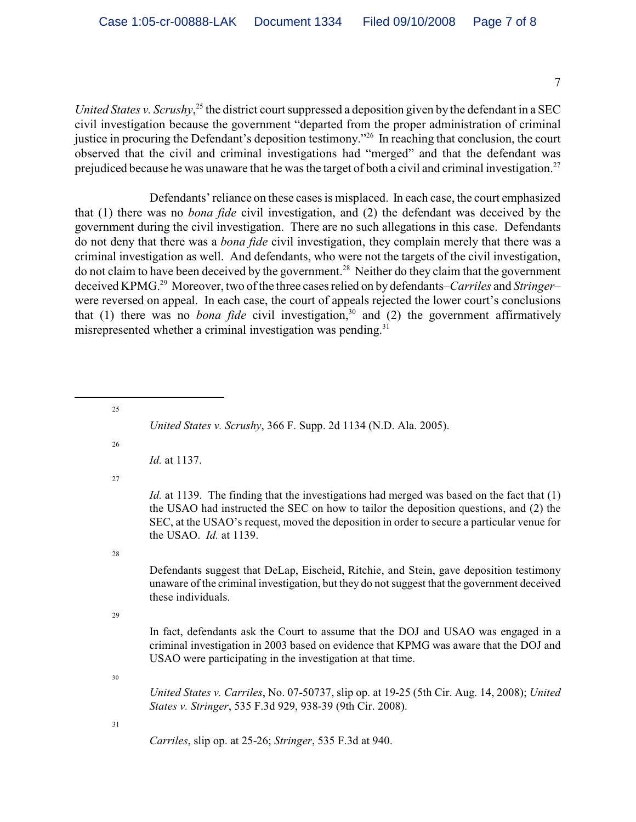7

*United States v. Scrushy*<sup>25</sup>, the district court suppressed a deposition given by the defendant in a SEC civil investigation because the government "departed from the proper administration of criminal justice in procuring the Defendant's deposition testimony."<sup>26</sup> In reaching that conclusion, the court observed that the civil and criminal investigations had "merged" and that the defendant was prejudiced because he was unaware that he was the target of both a civil and criminal investigation.<sup>27</sup>

Defendants' reliance on these cases is misplaced. In each case, the court emphasized that (1) there was no *bona fide* civil investigation, and (2) the defendant was deceived by the government during the civil investigation. There are no such allegations in this case. Defendants do not deny that there was a *bona fide* civil investigation, they complain merely that there was a criminal investigation as well. And defendants, who were not the targets of the civil investigation, do not claim to have been deceived by the government.<sup>28</sup> Neither do they claim that the government deceived KPMG.<sup>29</sup> Moreover, two of the three cases relied on by defendants–*Carriles* and *Stringer*– were reversed on appeal. In each case, the court of appeals rejected the lower court's conclusions that (1) there was no *bona fide* civil investigation,<sup>30</sup> and (2) the government affirmatively misrepresented whether a criminal investigation was pending. $31$ 

<sup>25</sup> *United States v. Scrushy*, 366 F. Supp. 2d 1134 (N.D. Ala. 2005). 26 *Id.* at 1137. 27 *Id.* at 1139. The finding that the investigations had merged was based on the fact that (1) the USAO had instructed the SEC on how to tailor the deposition questions, and (2) the SEC, at the USAO's request, moved the deposition in order to secure a particular venue for the USAO. *Id.* at 1139. 28 Defendants suggest that DeLap, Eischeid, Ritchie, and Stein, gave deposition testimony unaware of the criminal investigation, but they do not suggest that the government deceived these individuals. 29 In fact, defendants ask the Court to assume that the DOJ and USAO was engaged in a criminal investigation in 2003 based on evidence that KPMG was aware that the DOJ and USAO were participating in the investigation at that time. 30 *United States v. Carriles*, No. 07-50737, slip op. at 19-25 (5th Cir. Aug. 14, 2008); *United States v. Stringer*, 535 F.3d 929, 938-39 (9th Cir. 2008). 31 *Carriles*, slip op. at 25-26; *Stringer*, 535 F.3d at 940.